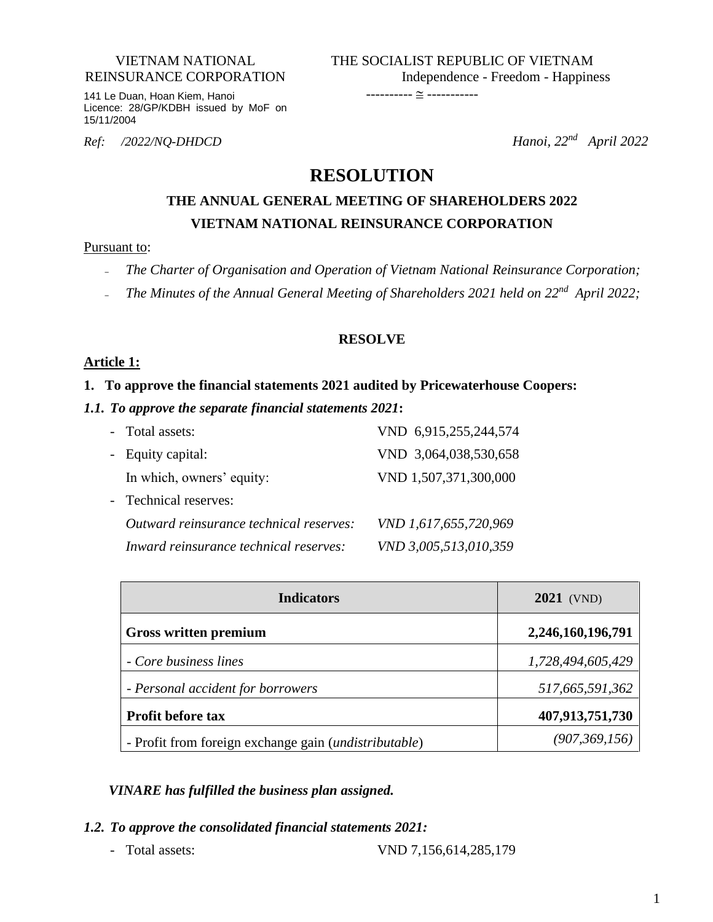#### VIETNAM NATIONAL REINSURANCE CORPORATION

141 Le Duan, Hoan Kiem, Hanoi Licence: 28/GP/KDBH issued by MoF on 15/11/2004

*Ref: /2022/NQ-DHDCD* 

*Hanoi*,  $22^{nd}$  *April* 2022

## **RESOLUTION**

## **THE ANNUAL GENERAL MEETING OF SHAREHOLDERS 2022 VIETNAM NATIONAL REINSURANCE CORPORATION**

#### Pursuant to:

- *The Charter of Organisation and Operation of Vietnam National Reinsurance Corporation;*
- The Minutes of the Annual General Meeting of Shareholders 2021 held on 22<sup>nd</sup> April 2022;

#### **RESOLVE**

#### **Article 1:**

#### **1. To approve the financial statements 2021 audited by Pricewaterhouse Coopers:**

#### *1.1. To approve the separate financial statements 2021***:**

| - Total assets:                         | VND 6,915,255,244,574 |
|-----------------------------------------|-----------------------|
| - Equity capital:                       | VND 3,064,038,530,658 |
| In which, owners' equity:               | VND 1,507,371,300,000 |
| - Technical reserves:                   |                       |
| Outward reinsurance technical reserves: | VND 1,617,655,720,969 |
| Inward reinsurance technical reserves:  | VND 3,005,513,010,359 |

| <b>Indicators</b>                                              | <b>2021</b> (VND) |
|----------------------------------------------------------------|-------------------|
| <b>Gross written premium</b>                                   | 2,246,160,196,791 |
| - Core business lines                                          | 1,728,494,605,429 |
| - Personal accident for borrowers                              | 517,665,591,362   |
| <b>Profit before tax</b>                                       | 407,913,751,730   |
| - Profit from foreign exchange gain ( <i>undistributable</i> ) | (907, 369, 156)   |

#### *VINARE has fulfilled the business plan assigned.*

- *1.2. To approve the consolidated financial statements 2021:*
	-

- Total assets: VND 7,156,614,285,179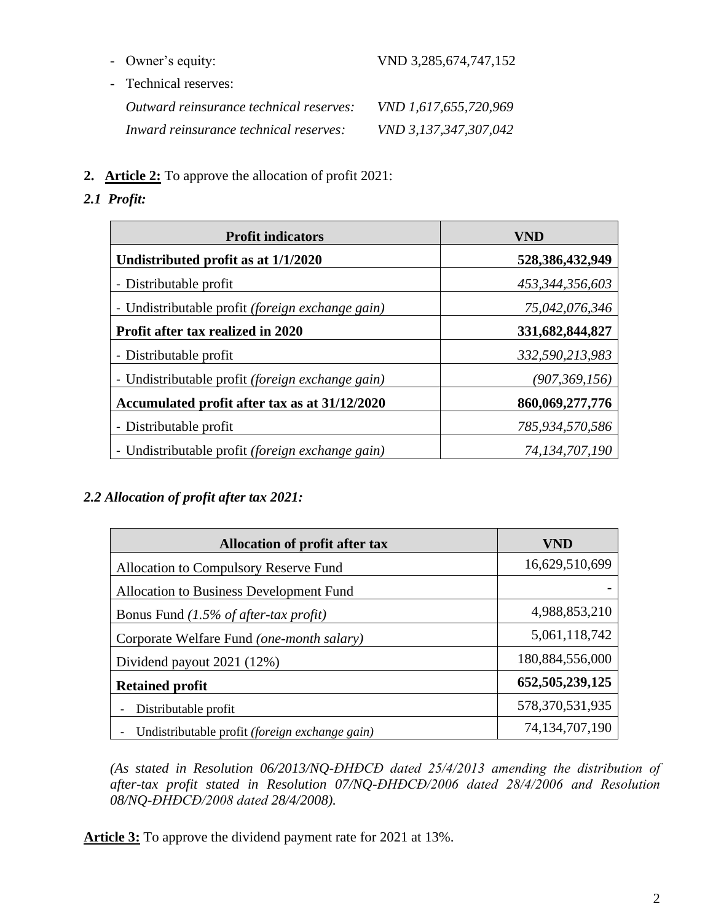- Technical reserves: *Outward reinsurance technical reserves: VND 1,617,655,720,969 Inward reinsurance technical reserves: VND 3,137,347,307,042*
- **2. Article 2:** To approve the allocation of profit 2021:
- *2.1 Profit:*

| <b>Profit indicators</b>                                | VND             |
|---------------------------------------------------------|-----------------|
| Undistributed profit as at 1/1/2020                     | 528,386,432,949 |
| - Distributable profit                                  | 453,344,356,603 |
| - Undistributable profit <i>(foreign exchange gain)</i> | 75,042,076,346  |
| Profit after tax realized in 2020                       | 331,682,844,827 |
| - Distributable profit                                  | 332,590,213,983 |
| - Undistributable profit <i>(foreign exchange gain)</i> | (907, 369, 156) |
| Accumulated profit after tax as at 31/12/2020           | 860,069,277,776 |
| - Distributable profit                                  | 785,934,570,586 |
| - Undistributable profit <i>(foreign exchange gain)</i> | 74,134,707,190  |

### *2.2 Allocation of profit after tax 2021:*

| <b>Allocation of profit after tax</b>                 | VND                |
|-------------------------------------------------------|--------------------|
| Allocation to Compulsory Reserve Fund                 | 16,629,510,699     |
| Allocation to Business Development Fund               |                    |
| Bonus Fund $(1.5\%$ of after-tax profit)              | 4,988,853,210      |
| Corporate Welfare Fund (one-month salary)             | 5,061,118,742      |
| Dividend payout 2021 (12%)                            | 180,884,556,000    |
| <b>Retained profit</b>                                | 652, 505, 239, 125 |
| Distributable profit                                  | 578, 370, 531, 935 |
| Undistributable profit <i>(foreign exchange gain)</i> | 74, 134, 707, 190  |

*(As stated in Resolution 06/2013/NQ-ĐHĐCĐ dated 25/4/2013 amending the distribution of after-tax profit stated in Resolution 07/NQ-ĐHĐCĐ/2006 dated 28/4/2006 and Resolution 08/NQ-ĐHĐCĐ/2008 dated 28/4/2008).*

**Article 3:** To approve the dividend payment rate for 2021 at 13%.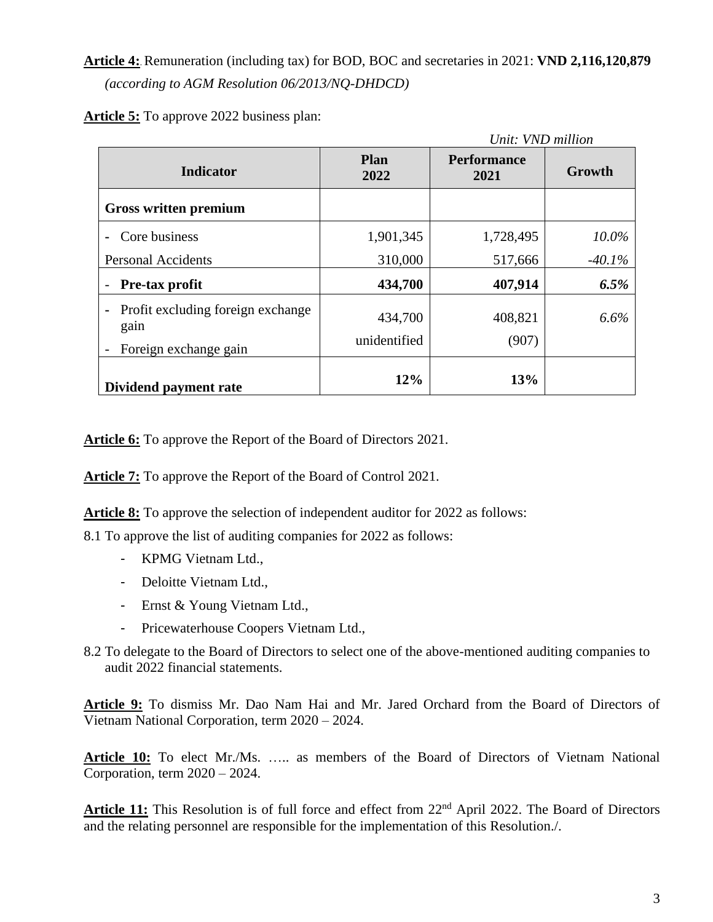**Article 4:**.Remuneration (including tax) for BOD, BOC and secretaries in 2021: **VND 2,116,120,879** *(according to AGM Resolution 06/2013/NQ-DHDCD)*

**Article 5:** To approve 2022 business plan:

|                                                                                      | Unit: VND million       |                            |          |
|--------------------------------------------------------------------------------------|-------------------------|----------------------------|----------|
| <b>Indicator</b>                                                                     | Plan<br>2022            | <b>Performance</b><br>2021 | Growth   |
| Gross written premium                                                                |                         |                            |          |
| Core business                                                                        | 1,901,345               | 1,728,495                  | $10.0\%$ |
| <b>Personal Accidents</b>                                                            | 310,000                 | 517,666                    | $-40.1%$ |
| Pre-tax profit                                                                       | 434,700                 | 407,914                    | 6.5%     |
| Profit excluding foreign exchange<br>$\blacksquare$<br>gain<br>Foreign exchange gain | 434,700<br>unidentified | 408,821<br>(907)           | 6.6%     |
| Dividend payment rate                                                                | 12%                     | <b>13%</b>                 |          |

**Article 6:** To approve the Report of the Board of Directors 2021.

**Article 7:** To approve the Report of the Board of Control 2021.

**Article 8:** To approve the selection of independent auditor for 2022 as follows:

8.1 To approve the list of auditing companies for 2022 as follows:

- KPMG Vietnam Ltd.,
- Deloitte Vietnam Ltd.,
- Ernst & Young Vietnam Ltd.,
- Pricewaterhouse Coopers Vietnam Ltd.,
- 8.2 To delegate to the Board of Directors to select one of the above-mentioned auditing companies to audit 2022 financial statements.

**Article 9:** To dismiss Mr. Dao Nam Hai and Mr. Jared Orchard from the Board of Directors of Vietnam National Corporation, term 2020 – 2024.

**Article 10:** To elect Mr./Ms. ….. as members of the Board of Directors of Vietnam National Corporation, term 2020 – 2024.

Article 11: This Resolution is of full force and effect from 22<sup>nd</sup> April 2022. The Board of Directors and the relating personnel are responsible for the implementation of this Resolution./.